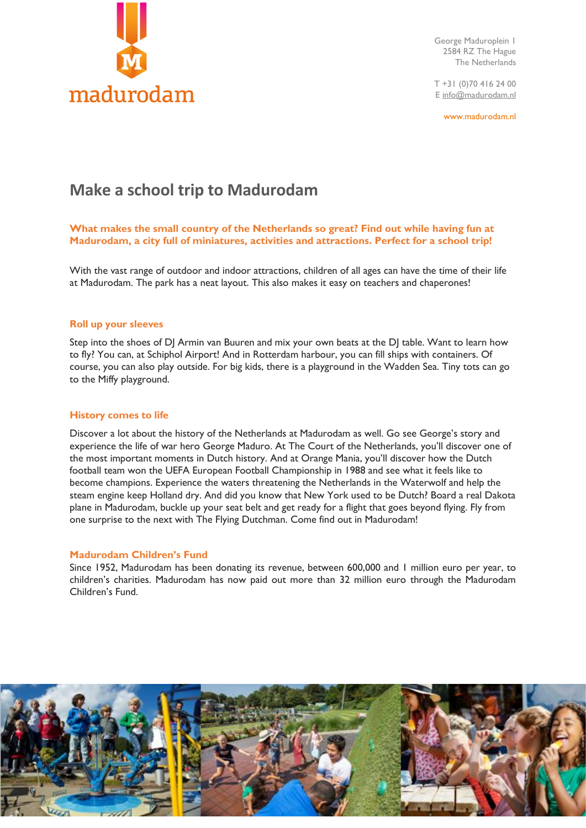

George Maduroplein 1 2584 RZ The Hague The Netherlands

T +31 (0)70 416 24 00 [E info@madurodam.nl](mailto:info@madurodam.nl)

www.madurodam.nl

# **Make a school trip to Madurodam**

# **What makes the small country of the Netherlands so great? Find out while having fun at Madurodam, a city full of miniatures, activities and attractions. Perfect for a school trip!**

With the vast range of outdoor and indoor attractions, children of all ages can have the time of their life at Madurodam. The park has a neat layout. This also makes it easy on teachers and chaperones!

# **Roll up your sleeves**

Step into the shoes of DJ Armin van Buuren and mix your own beats at the DJ table. Want to learn how to fly? You can, at Schiphol Airport! And in Rotterdam harbour, you can fill ships with containers. Of course, you can also play outside. For big kids, there is a playground in the Wadden Sea. Tiny tots can go to the Miffy playground.

#### **History comes to life**

Discover a lot about the history of the Netherlands at Madurodam as well. Go see George's story and experience the life of war hero George Maduro. At The Court of the Netherlands, you'll discover one of the most important moments in Dutch history. And at [Orange Mania](https://www.madurodam.nl/nl/het-park/alle-attracties/zo-groot-is-oranje), you'll discover how the Dutch football team won the UEFA European Football Championship in 1988 and see what it feels like to become champions. Experience the waters threatening the Netherlands in the Waterwolf and help the steam engine keep Holland dry. And did you know that New York used to be Dutch? Board a real Dakota plane in Madurodam, buckle up your seat belt and get ready for a flight that goes beyond flying. Fly from one surprise to the next with The Flying Dutchman. Come find out in Madurodam!

#### **Madurodam Children's Fund**

Since 1952, Madurodam has been donating its revenue, between 600,000 and 1 million euro per year, to children's charities. Madurodam has now paid out more than 32 million euro through the Madurodam Children's Fund.

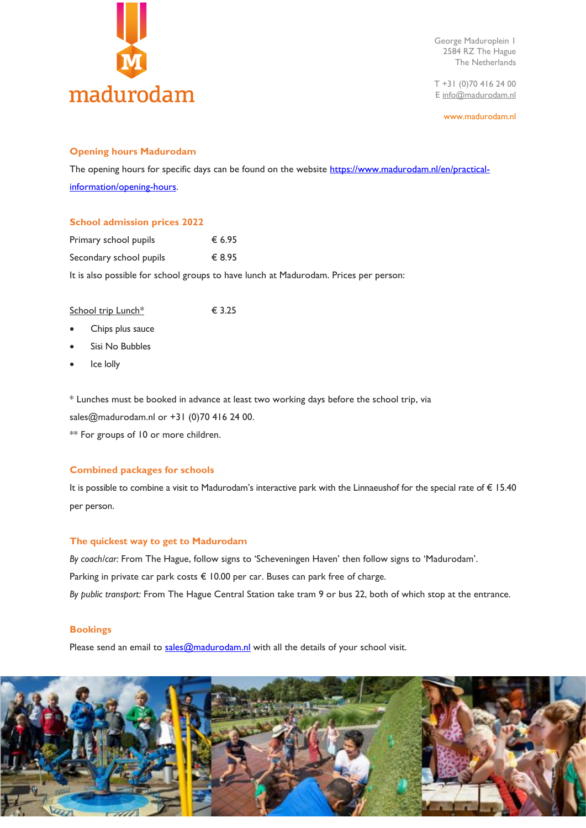

George Maduroplein 1 2584 RZ The Hague The Netherlands

T +31 (0)70 416 24 00 [E info@madurodam.nl](mailto:info@madurodam.nl)

www.madurodam.nl

# **Opening hours Madurodam**

The opening hours for specific days can be found on the website [https://www.madurodam.nl/en/practical](https://www.madurodam.nl/en/practical-information/opening-hours)[information/opening-hours.](https://www.madurodam.nl/en/practical-information/opening-hours)

# **School admission prices 2022**

| Primary school pupils   | € 6.95 |
|-------------------------|--------|
| Secondary school pupils | € 8.95 |

It is also possible for school groups to have lunch at Madurodam. Prices per person:

| School trip Lunch* | € 3.25 |
|--------------------|--------|
|                    |        |

- Chips plus sauce
- Sisi No Bubbles
- Ice lolly

\* Lunches must be booked in advance at least two working days before the school trip, via sales@madurodam.nl or +31 (0)70 416 24 00.

\*\* For groups of 10 or more children.

# **Combined packages for schools**

It is possible to combine a visit to Madurodam's interactive park with the Linnaeushof for the special rate of € 15.40 per person.

# **The quickest way to get to Madurodam**

*By coach/car:* From The Hague, follow signs to 'Scheveningen Haven' then follow signs to 'Madurodam'. Parking in private car park costs € 10.00 per car. Buses can park free of charge. *By public transport:* From The Hague Central Station take tram 9 or bus 22, both of which stop at the entrance.

# **Bookings**

Please send an email to [sales@madurodam.nl](mailto:sales@madurodam.nl) with all the details of your school visit.